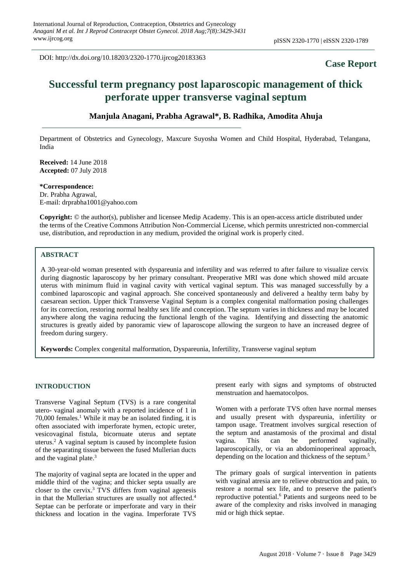DOI: http://dx.doi.org/10.18203/2320-1770.ijrcog20183363

## **Case Report**

# **Successful term pregnancy post laparoscopic management of thick perforate upper transverse vaginal septum**

## **Manjula Anagani, Prabha Agrawal\*, B. Radhika, Amodita Ahuja**

Department of Obstetrics and Gynecology, Maxcure Suyosha Women and Child Hospital, Hyderabad, Telangana, India

**Received:** 14 June 2018 **Accepted:** 07 July 2018

**\*Correspondence:** Dr. Prabha Agrawal, E-mail: drprabha1001@yahoo.com

**Copyright:** © the author(s), publisher and licensee Medip Academy. This is an open-access article distributed under the terms of the Creative Commons Attribution Non-Commercial License, which permits unrestricted non-commercial use, distribution, and reproduction in any medium, provided the original work is properly cited.

#### **ABSTRACT**

A 30-year-old woman presented with dyspareunia and infertility and was referred to after failure to visualize cervix during diagnostic laparoscopy by her primary consultant. Preoperative MRI was done which showed mild arcuate uterus with minimum fluid in vaginal cavity with vertical vaginal septum. This was managed successfully by a combined laparoscopic and vaginal approach. She conceived spontaneously and delivered a healthy term baby by caesarean section. Upper thick Transverse Vaginal Septum is a complex congenital malformation posing challenges for its correction, restoring normal healthy sex life and conception. The septum varies in thickness and may be located anywhere along the vagina reducing the functional length of the vagina. Identifying and dissecting the anatomic structures is greatly aided by panoramic view of laparoscope allowing the surgeon to have an increased degree of freedom during surgery.

**Keywords:** Complex congenital malformation, Dyspareunia, Infertility, Transverse vaginal septum

#### **INTRODUCTION**

Transverse Vaginal Septum (TVS) is a rare congenital utero- vaginal anomaly with a reported incidence of 1 in 70,000 females. <sup>1</sup> While it may be an isolated finding, it is often associated with imperforate hymen, ectopic ureter, vesicovaginal fistula, bicornuate uterus and septate uterus. <sup>2</sup> A vaginal septum is caused by incomplete fusion of the separating tissue between the fused Mullerian ducts and the vaginal plate. 3

The majority of vaginal septa are located in the upper and middle third of the vagina; and thicker septa usually are closer to the cervix. <sup>3</sup> TVS differs from vaginal agenesis in that the Mullerian structures are usually not affected.<sup>4</sup> Septae can be perforate or imperforate and vary in their thickness and location in the vagina. Imperforate TVS present early with signs and symptoms of obstructed menstruation and haematocolpos.

Women with a perforate TVS often have normal menses and usually present with dyspareunia, infertility or tampon usage. Treatment involves surgical resection of the septum and anastamosis of the proximal and distal vagina. This can be performed vaginally, laparoscopically, or via an abdominoperineal approach, depending on the location and thickness of the septum. 5

The primary goals of surgical intervention in patients with vaginal atresia are to relieve obstruction and pain, to restore a normal sex life, and to preserve the patient's reproductive potential. <sup>6</sup> Patients and surgeons need to be aware of the complexity and risks involved in managing mid or high thick septae.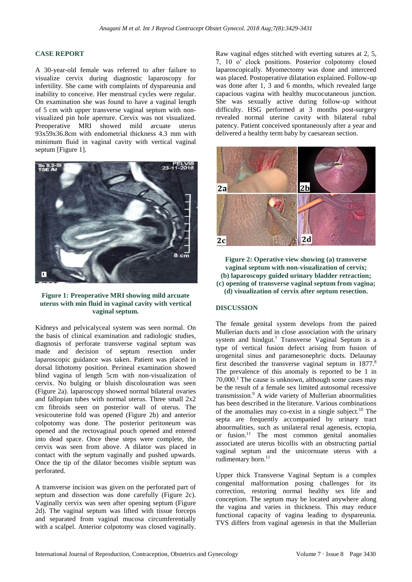## **CASE REPORT**

A 30-year-old female was referred to after failure to visualize cervix during diagnostic laparoscopy for infertility. She came with complaints of dyspareunia and inability to conceive. Her menstrual cycles were regular. On examination she was found to have a vaginal length of 5 cm with upper transverse vaginal septum with nonvisualized pin hole aperture. Cervix was not visualized. Preoperative MRI showed mild arcuate uterus 93x59x36.8cm with endometrial thickness 4.3 mm with minimum fluid in vaginal cavity with vertical vaginal septum [Figure 1].



### **Figure 1: Preoperative MRI showing mild arcuate uterus with min fluid in vaginal cavity with vertical vaginal septum.**

Kidneys and pelvicalyceal system was seen normal. On the basis of clinical examination and radiologic studies, diagnosis of perforate transverse vaginal septum was made and decision of septum resection under laparoscopic guidance was taken. Patient was placed in dorsal lithotomy position. Perineal examination showed blind vagina of length 5cm with non-visualization of cervix. No bulging or bluish discolouration was seen (Figure 2a). laparoscopy showed normal bilateral ovaries and fallopian tubes with normal uterus. Three small 2x2 cm fibroids seen on posterior wall of uterus. The vesicouterine fold was opened (Figure 2b) and anterior colpotomy was done. The posterior peritoneum was opened and the rectovaginal pouch opened and entered into dead space. Once these steps were complete, the cervix was seen from above. A dilator was placed in contact with the septum vaginally and pushed upwards. Once the tip of the dilator becomes visible septum was perforated.

A transverse incision was given on the perforated part of septum and dissection was done carefully (Figure 2c). Vaginally cervix was seen after opening septum (Figure 2d). The vaginal septum was lifted with tissue forceps and separated from vaginal mucosa circumferentially with a scalpel. Anterior colpotomy was closed vaginally. Raw vaginal edges stitched with everting sutures at 2, 5, 7, 10 o′ clock positions. Posterior colpotomy closed laparoscopically. Myomectomy was done and interceed was placed. Postoperative dilatation explained. Follow-up was done after 1, 3 and 6 months, which revealed large capacious vagina with healthy mucocutaneous junction. She was sexually active during follow-up without difficulty. HSG performed at 3 months post-surgery revealed normal uterine cavity with bilateral tubal patency. Patient conceived spontaneously after a year and delivered a healthy term baby by caesarean section.



**Figure 2: Operative view showing (a) transverse vaginal septum with non-visualization of cervix; (b) laparoscopy guided urinary bladder retraction; (c) opening of transverse vaginal septum from vagina; (d) visualization of cervix after septum resection.**

## **DISCUSSION**

The female genital system develops from the paired Mullerian ducts and in close association with the urinary system and hindgut. <sup>7</sup> Transverse Vaginal Septum is a type of vertical fusion defect arising from fusion of urogenital sinus and paramesonephric ducts. Delaunay first described the transverse vaginal septum in 1877. 8 The prevalence of this anomaly is reported to be 1 in 70,000. <sup>1</sup> The cause is unknown, although some cases may be the result of a female sex limited autosomal recessive transmission. <sup>9</sup> A wide variety of Mullerian abnormalities has been described in the literature. Various combinations of the anomalies may co-exist in a single subject. <sup>10</sup> The septa are frequently accompanied by urinary tract abnormalities, such as unilateral renal agenesis, ectopia, or fusion. <sup>11</sup> The most common genital anomalies associated are uterus bicollis with an obstructing partial vaginal septum and the unicornuate uterus with a rudimentary horn. 11

Upper thick Transverse Vaginal Septum is a complex congenital malformation posing challenges for its correction, restoring normal healthy sex life and conception. The septum may be located anywhere along the vagina and varies in thickness. This may reduce functional capacity of vagina leading to dyspareunia. TVS differs from vaginal agenesis in that the Mullerian